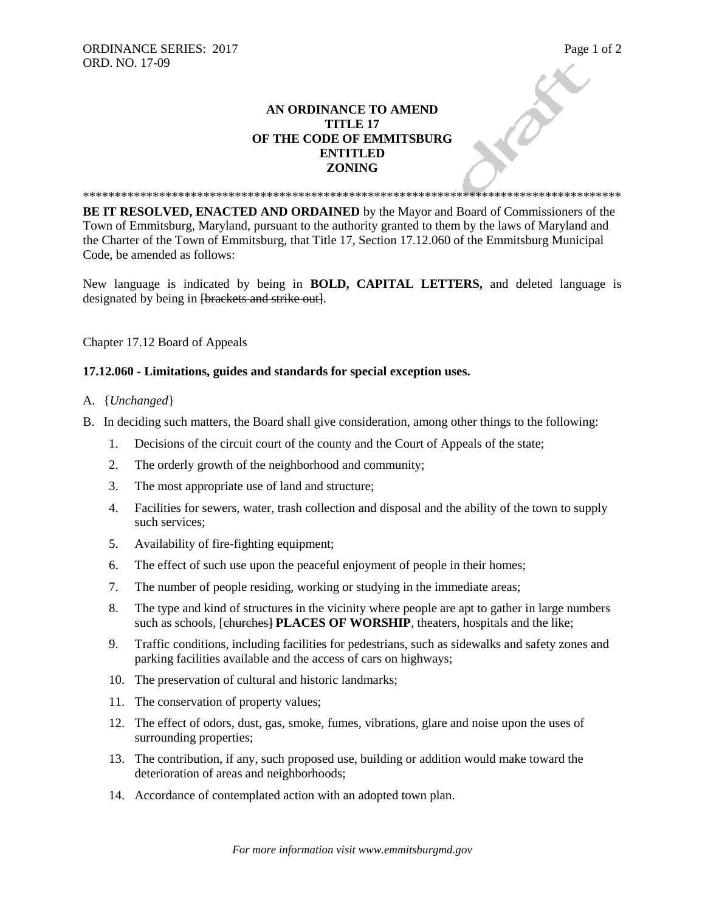## ORDINANCE SERIES: 2017<br>
ORD. NO. 17-09<br>
AN ORDINANCE TO AMEND<br>
TITLE 17<br>
OF THE CODE CT **AN ORDINANCE TO AMEND TITLE 17 OF THE CODE OF EMMITSBURG ENTITLED ZONING**

**BE IT RESOLVED, ENACTED AND ORDAINED** by the Mayor and Board of Commissioners of the Town of Emmitsburg, Maryland, pursuant to the authority granted to them by the laws of Maryland and the Charter of the Town of Emmitsburg, that Title 17, Section 17.12.060 of the Emmitsburg Municipal Code, be amended as follows:

\*\*\*\*\*\*\*\*\*\*\*\*\*\*\*\*\*\*\*\*\*\*\*\*\*\*\*\*\*\*\*\*\*\*\*\*\*\*\*\*\*\*\*\*\*\*\*\*\*\*\*\*\*\*\*\*\*\*\*\*\*\*\*\*\*\*\*\*\*\*\*\*\*\*\*\*\*\*\*\*\*\*\*\*\*

New language is indicated by being in **BOLD, CAPITAL LETTERS,** and deleted language is designated by being in <del>[brackets and strike out]</del>.

Chapter 17.12 Board of Appeals

## **17.12.060 - Limitations, guides and standards for special exception uses.**

## A. {*Unchanged*}

- B. In deciding such matters, the Board shall give consideration, among other things to the following:
	- 1. Decisions of the circuit court of the county and the Court of Appeals of the state;
	- 2. The orderly growth of the neighborhood and community;
	- 3. The most appropriate use of land and structure;
	- 4. Facilities for sewers, water, trash collection and disposal and the ability of the town to supply such services;
	- 5. Availability of fire-fighting equipment;
	- 6. The effect of such use upon the peaceful enjoyment of people in their homes;
	- 7. The number of people residing, working or studying in the immediate areas;
	- 8. The type and kind of structures in the vicinity where people are apt to gather in large numbers such as schools, [churches] **PLACES OF WORSHIP**, theaters, hospitals and the like;
	- 9. Traffic conditions, including facilities for pedestrians, such as sidewalks and safety zones and parking facilities available and the access of cars on highways;
	- 10. The preservation of cultural and historic landmarks;
	- 11. The conservation of property values;
	- 12. The effect of odors, dust, gas, smoke, fumes, vibrations, glare and noise upon the uses of surrounding properties;
	- 13. The contribution, if any, such proposed use, building or addition would make toward the deterioration of areas and neighborhoods;
	- 14. Accordance of contemplated action with an adopted town plan.